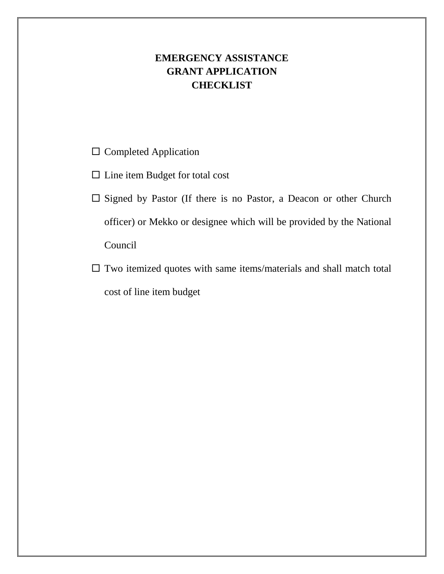## **EMERGENCY ASSISTANCE GRANT APPLICATION CHECKLIST**

- $\square$  Completed Application
- $\square$  Line item Budget for total cost
- $\square$  Signed by Pastor (If there is no Pastor, a Deacon or other Church officer) or Mekko or designee which will be provided by the National Council
- $\square$  Two itemized quotes with same items/materials and shall match total cost of line item budget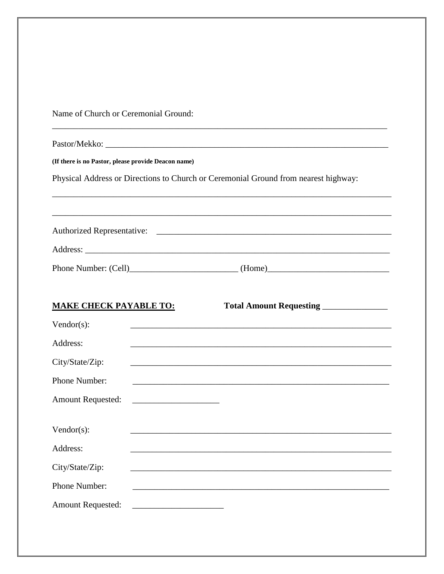Name of Church or Ceremonial Ground:

| (If there is no Pastor, please provide Deacon name)                                 |                                                                                                                  |  |  |
|-------------------------------------------------------------------------------------|------------------------------------------------------------------------------------------------------------------|--|--|
| Physical Address or Directions to Church or Ceremonial Ground from nearest highway: |                                                                                                                  |  |  |
|                                                                                     |                                                                                                                  |  |  |
|                                                                                     |                                                                                                                  |  |  |
|                                                                                     |                                                                                                                  |  |  |
|                                                                                     |                                                                                                                  |  |  |
|                                                                                     |                                                                                                                  |  |  |
|                                                                                     |                                                                                                                  |  |  |
| <b>MAKE CHECK PAYABLE TO:</b>                                                       | Total Amount Requesting _____________                                                                            |  |  |
| Vendor $(s)$ :                                                                      |                                                                                                                  |  |  |
| Address:                                                                            |                                                                                                                  |  |  |
| City/State/Zip:                                                                     | and the control of the control of the control of the control of the control of the control of the control of the |  |  |
| Phone Number:                                                                       |                                                                                                                  |  |  |
| <b>Amount Requested:</b>                                                            |                                                                                                                  |  |  |
|                                                                                     |                                                                                                                  |  |  |
| Vendor $(s)$ :                                                                      |                                                                                                                  |  |  |
| Address:                                                                            |                                                                                                                  |  |  |
| City/State/Zip:                                                                     |                                                                                                                  |  |  |
| Phone Number:                                                                       |                                                                                                                  |  |  |
| <b>Amount Requested:</b>                                                            |                                                                                                                  |  |  |